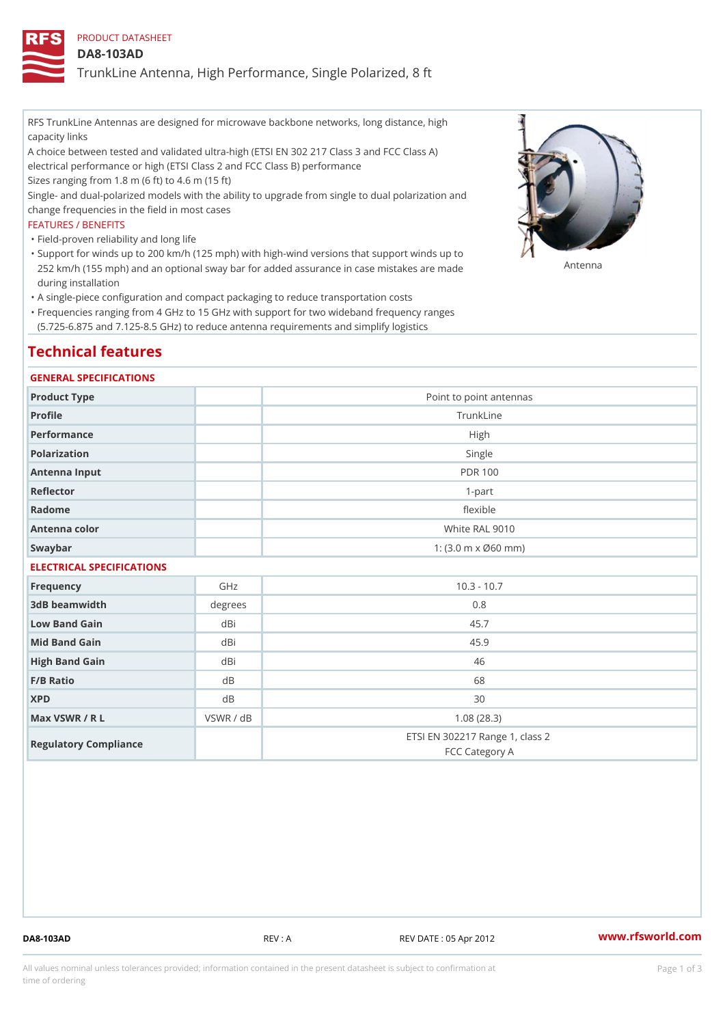# PRODUCT DATASHEET

## DA8-103AD

TrunkLine Antenna, High Performance, Single Polarized, 8 ft

RFS TrunkLine Antennas are designed for microwave backbone networks, long distance, high capacity links

A choice between tested and validated ultra-high (ETSI EN 302 217 Class 3 and FCC Class A) electrical performance or high (ETSI Class 2 and FCC Class B) performance

Sizes ranging from 1.8 m (6 ft) to 4.6 m (15 ft)

Single- and dual-polarized models with the ability to upgrade from single to dual polarization and change frequencies in the field in most cases

### FEATURES / BENEFITS

"Field-proven reliability and long life

- Support for winds up to 200 km/h (125 mph) with high-wind versions that support winds up to " 252 km/h (155 mph) and an optional sway bar for added assurance in case m S # \$ R & B are made during installation
- "A single-piece configuration and compact packaging to reduce transportation costs
- Frequencies ranging from 4 GHz to 15 GHz with support for two wideband frequency ranges " (5.725-6.875 and 7.125-8.5 GHz) to reduce antenna requirements and simplify logistics

# Technical features

#### GENERAL SPECIFICATIONS

| Product Type  | Point to point antennas                                 |  |  |  |
|---------------|---------------------------------------------------------|--|--|--|
| Profile       | TrunkLine                                               |  |  |  |
| Performance   | High                                                    |  |  |  |
| Polarization  | Single                                                  |  |  |  |
| Antenna Input | <b>PDR 100</b>                                          |  |  |  |
| Reflector     | $1-part$                                                |  |  |  |
| Radome        | flexible                                                |  |  |  |
| Antenna color | White RAL 9010                                          |  |  |  |
| Swaybar       | 1: $(3.0 \, \text{m} \times \emptyset 60 \, \text{mm})$ |  |  |  |
|               |                                                         |  |  |  |

# ELECTRICAL SPECIFICATIONS

| Frequency             | GHz       | $10.3 - 10.7$                                     |
|-----------------------|-----------|---------------------------------------------------|
| 3dB beamwidth         | degrees   | 0.8                                               |
| Low Band Gain         | dBi       | 45.7                                              |
| Mid Band Gain         | dBi       | 45.9                                              |
| High Band Gain        | dBi       | 46                                                |
| $F/B$ Ratio           | d B       | 68                                                |
| <b>XPD</b>            | d B       | 30                                                |
| Max VSWR / R L        | VSWR / dB | 1.08(28.3)                                        |
| Regulatory Compliance |           | ETSI EN 302217 Range 1, class 2<br>FCC Category A |

DA8-103AD REV : A REV DATE : 05 Apr 2012 [www.](https://www.rfsworld.com)rfsworld.com

All values nominal unless tolerances provided; information contained in the present datasheet is subject to Pcapgeign mation time of ordering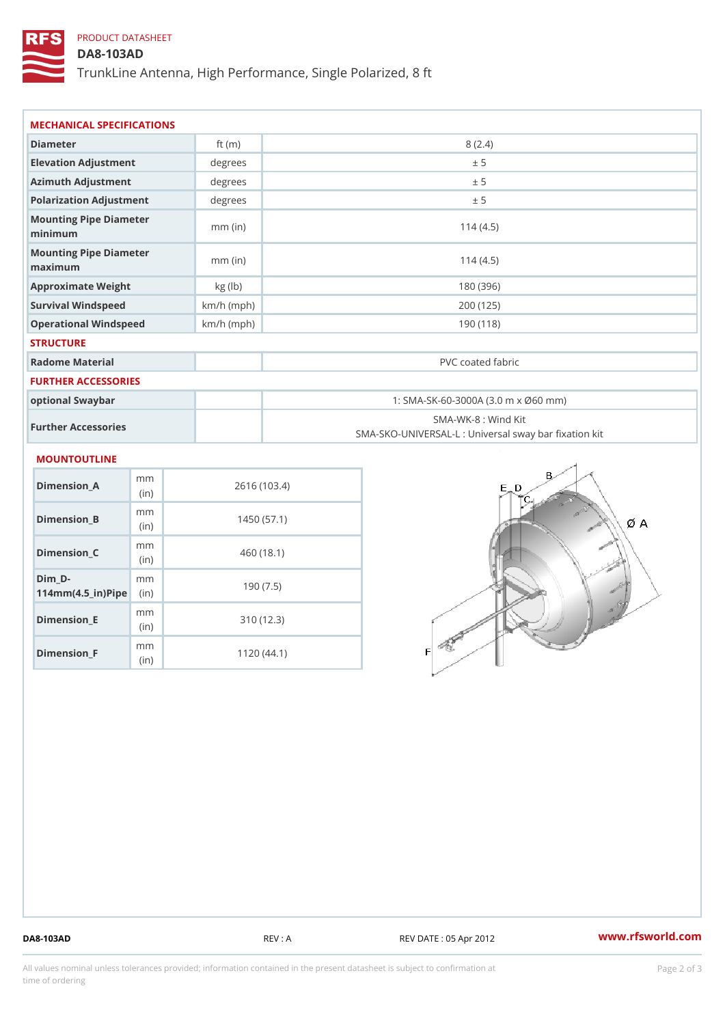# PRODUCT DATASHEET

DA8-103AD

TrunkLine Antenna, High Performance, Single Polarized, 8 ft

| MECHANICAL SPECIFICATIONS                                            |              |                                                                          |  |
|----------------------------------------------------------------------|--------------|--------------------------------------------------------------------------|--|
| Diameter                                                             | ft $(m)$     | 8(2.4)                                                                   |  |
| Elevation Adjustment                                                 | degrees      | ± 5                                                                      |  |
| Azimuth Adjustment                                                   | degrees      | ± 5                                                                      |  |
| Polarization Adjustment                                              | degree:      | ± 5                                                                      |  |
| Mounting Pipe Diameter<br>minimum                                    | $mm$ (in)    | 114(4.5)                                                                 |  |
| Mounting Pipe Diameter<br>maximum                                    | $mm$ (in)    | 114(4.5)                                                                 |  |
| Approximate Weight                                                   | kg (1b)      | 180 (396)                                                                |  |
| Survival Windspeed                                                   | $km/h$ (mph) | 200 (125)                                                                |  |
| Operational Windspeed                                                | $km/h$ (mph) | 190 (118)                                                                |  |
| <b>STRUCTURE</b>                                                     |              |                                                                          |  |
| Radome Material                                                      |              | PVC coated fabric                                                        |  |
| FURTHER ACCESSORIES                                                  |              |                                                                          |  |
| optional Swaybar                                                     |              | 1: SMA-SK-60-3000A (3.0 m x Ø60 mm)                                      |  |
| Further Accessories                                                  |              | SMA-WK-8 : Wind Kit<br>SMA-SKO-UNIVERSAL-L : Universal sway bar fixation |  |
| MOUNTOUTLINE                                                         |              |                                                                          |  |
| m m<br>Dimension_A<br>(in)                                           |              | 2616 (103.4)                                                             |  |
| m m<br>Dimension_B<br>(in)                                           |              | 1450(57.1)                                                               |  |
| m m<br>Dimension_C<br>(in)                                           |              | 460(18.1)                                                                |  |
| $Dim_D - D -$<br>m m<br>$114$ m m (4.5 _ ir ) $\sqrt{$ imp $\approx$ |              | 190(7.5)                                                                 |  |

Dimension\_E

Dimension\_F

mm (in)

m<sub>m</sub> (in)

310 (12.3)

1120 (44.1)

DA8-103AD REV : A REV DATE : 05 Apr 2012 [www.](https://www.rfsworld.com)rfsworld.com